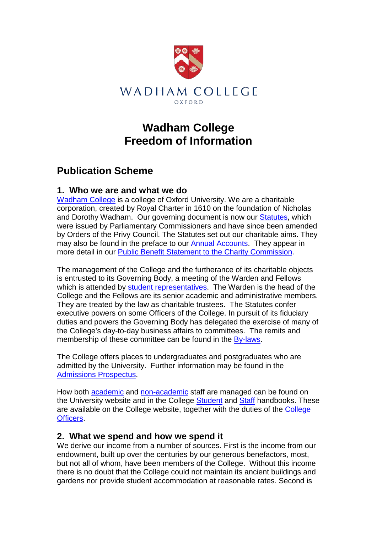

# **Wadham College Freedom of Information**

## **Publication Scheme**

#### **1. Who we are and what we do**

[Wadham College](http://www.wadham.ox.ac.uk/) is a college of Oxford University. We are a charitable corporation, created by Royal Charter in 1610 on the foundation of Nicholas and Dorothy Wadham. Our governing document is now our **Statutes**, which were issued by Parliamentary Commissioners and have since been amended by Orders of the Privy Council. The Statutes set out our charitable aims. They may also be found in the preface to our [Annual Accounts.](http://www.ox.ac.uk/about_the_university/facts_and_figures/college_finances08.html) They appear in more detail in our [Public Benefit Statement to the Charity Commission.](http://www.wadham.ox.ac.uk/fellows-staff/academics/public-benefit-statement.html)

The management of the College and the furtherance of its charitable objects is entrusted to its Governing Body, a meeting of the Warden and Fellows which is attended by [student representatives.](http://su.wadham.ox.ac.uk/) The Warden is the head of the College and the Fellows are its senior academic and administrative members. They are treated by the law as charitable trustees. The Statutes confer executive powers on some Officers of the College. In pursuit of its fiduciary duties and powers the Governing Body has delegated the exercise of many of the College's day-to-day business affairs to committees. The remits and membership of these committee can be found in the [By-laws.](http://www.wadham.ox.ac.uk/fellows-staff/academics/bylaws.html)

The College offers places to undergraduates and postgraduates who are admitted by the University. Further information may be found in the [Admissions Prospectus.](http://www.wadham.ox.ac.uk/admissions/admissions/prospectus.html)

How both [academic](http://www.wadham.ox.ac.uk/fellows-staff/staff/academics.html) and [non-academic](http://www.wadham.ox.ac.uk/fellows-staff/staff/non-academic-staff.html) staff are managed can be found on the University website and in the College [Student](http://www.wadham.ox.ac.uk/images/students/thewadhamhandbook2009.pdf) and [Staff](http://www.wadham.ox.ac.uk/images/Policies/staff%20handbook%202010.pdf) handbooks. These are available on the College website, together with the duties of the [College](http://www.wadham.ox.ac.uk/fellows-staff/staff/college-officers.html)  [Officers.](http://www.wadham.ox.ac.uk/fellows-staff/staff/college-officers.html)

#### **2. What we spend and how we spend it**

We derive our income from a number of sources. First is the income from our endowment, built up over the centuries by our generous benefactors, most, but not all of whom, have been members of the College. Without this income there is no doubt that the College could not maintain its ancient buildings and gardens nor provide student accommodation at reasonable rates. Second is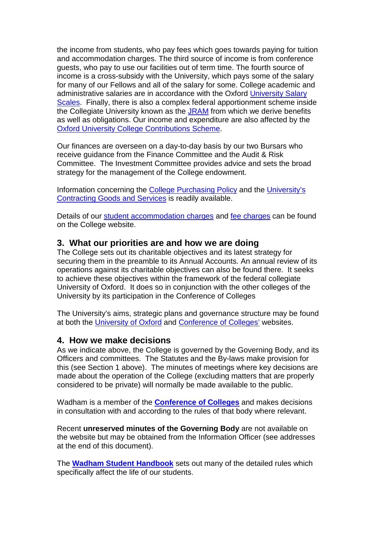the income from students, who pay fees which goes towards paying for tuition and accommodation charges. The third source of income is from conference guests, who pay to use our facilities out of term time. The fourth source of income is a cross-subsidy with the University, which pays some of the salary for many of our Fellows and all of the salary for some. College academic and administrative salaries are in accordance with the Oxford [University Salary](http://www.admin.ox.ac.uk/finance/salaries_expenses/scales/)  [Scales.](http://www.admin.ox.ac.uk/finance/salaries_expenses/scales/) Finally, there is also a complex federal apportionment scheme inside the Collegiate University known as the [JRAM](http://www.ox.ac.uk/document.rm?id=1127) from which we derive benefits as well as obligations. Our income and expenditure are also affected by the [Oxford University College Contributions Scheme.](http://www.admin.ox.ac.uk/statutes/789-121.shtml)

Our finances are overseen on a day-to-day basis by our two Bursars who receive guidance from the Finance Committee and the Audit & Risk Committee. The Investment Committee provides advice and sets the broad strategy for the management of the College endowment.

Information concerning the [College Purchasing Policy](http://www.wadham.ox.ac.uk/about-wadham/policy-publications/purchasing-policy.html) and the [University's](http://www.admin.ox.ac.uk/finance/oxonly/purchasing/tender_process/policy.shtml)  [Contracting Goods and Services](http://www.admin.ox.ac.uk/finance/oxonly/purchasing/tender_process/policy.shtml) is readily available.

Details of our [student accommodation charges](http://www.wadham.ox.ac.uk/images/finance/b%26lcharges%2020092010.pdf) and [fee charges](http://www.wadham.ox.ac.uk/images/finance/fees%202009-10.pdf) can be found on the College website.

#### **3. What our priorities are and how we are doing**

The College sets out its charitable objectives and its latest strategy for securing them in the preamble to its Annual Accounts. An annual review of its operations against its charitable objectives can also be found there. It seeks to achieve these objectives within the framework of the federal collegiate University of Oxford. It does so in conjunction with the other colleges of the University by its participation in the Conference of Colleges

The University's aims, strategic plans and governance structure may be found at both the [University of Oxford](http://www.ox.ac.uk/) and [Conference of Colleges'](http://weblearn.ox.ac.uk/portal/hierarchy/colleges/confcoll) websites.

#### **4. How we make decisions**

As we indicate above, the College is governed by the Governing Body, and its Officers and committees. The Statutes and the By-laws make provision for this (see Section 1 above). The minutes of meetings where key decisions are made about the operation of the College (excluding matters that are properly considered to be private) will normally be made available to the public.

Wadham is a member of the **[Conference of Colleges](http://weblearn.ox.ac.uk/portal/hierarchy/colleges/confcoll)** and makes decisions in consultation with and according to the rules of that body where relevant.

Recent **unreserved minutes of the Governing Body** are not available on the website but may be obtained from the Information Officer (see addresses at the end of this document).

The **[Wadham Student Handbook](http://www.wadham.ox.ac.uk/images/students/thewadhamhandbook2009.pdf)** sets out many of the detailed rules which specifically affect the life of our students.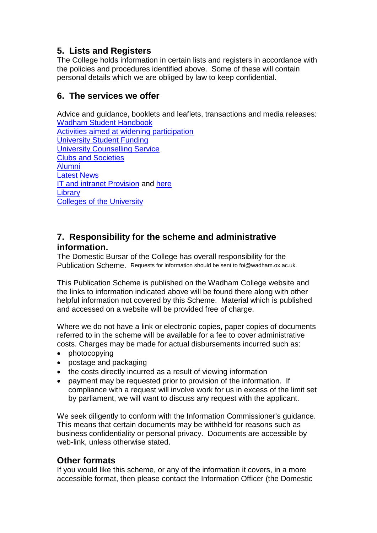## **5. Lists and Registers**

The College holds information in certain lists and registers in accordance with the policies and procedures identified above. Some of these will contain personal details which we are obliged by law to keep confidential.

## **6. The services we offer**

Advice and guidance, booklets and leaflets, transactions and media releases: Wadham [Student Handbook](http://www.wadham.ox.ac.uk/images/students/thewadhamhandbook2009.pdf) [Activities aimed at widening participation](http://www.ox.ac.uk/admissions/undergraduate_courses/index.html) [University Student Funding](http://www.ox.ac.uk/admissions/undergraduate_courses/student_funding/index.html) [University Counselling Service](http://www.admin.ox.ac.uk/shw/counserv.shtml) [Clubs and Societies](http://su.wadham.ox.ac.uk/) [Alumni](http://www.wadham.ox.ac.uk/friends-alumni/alumni/friends-and-alumni.html) [Latest News](http://www.wadham.ox.ac.uk/)

[IT and intranet Provision](http://www.wadham.ox.ac.uk/images/Policies/staff%20handbook%202010.pdf) and [here](http://www.wadham.ox.ac.uk/images/students/thewadhamhandbook2009.pdf) **[Library](http://www.wadham.ox.ac.uk/about-wadham/library/wadham-college-library.html)** 

[Colleges of the University](http://www.ox.ac.uk/colleges/index.html)

### **7. Responsibility for the scheme and administrative information.**

The Domestic Bursar of the College has overall responsibility for the Publication Scheme. Requests for information should be sent to foi@wadham.ox.ac.uk.

This Publication Scheme is published on the Wadham College website and the links to information indicated above will be found there along with other helpful information not covered by this Scheme. Material which is published and accessed on a website will be provided free of charge.

Where we do not have a link or electronic copies, paper copies of documents referred to in the scheme will be available for a fee to cover administrative costs. Charges may be made for actual disbursements incurred such as:

- photocopying
- postage and packaging
- the costs directly incurred as a result of viewing information
- payment may be requested prior to provision of the information. If compliance with a request will involve work for us in excess of the limit set by parliament, we will want to discuss any request with the applicant.

We seek diligently to conform with the Information Commissioner's guidance. This means that certain documents may be withheld for reasons such as business confidentiality or personal privacy. Documents are accessible by web-link, unless otherwise stated.

## **Other formats**

If you would like this scheme, or any of the information it covers, in a more accessible format, then please contact the Information Officer (the Domestic